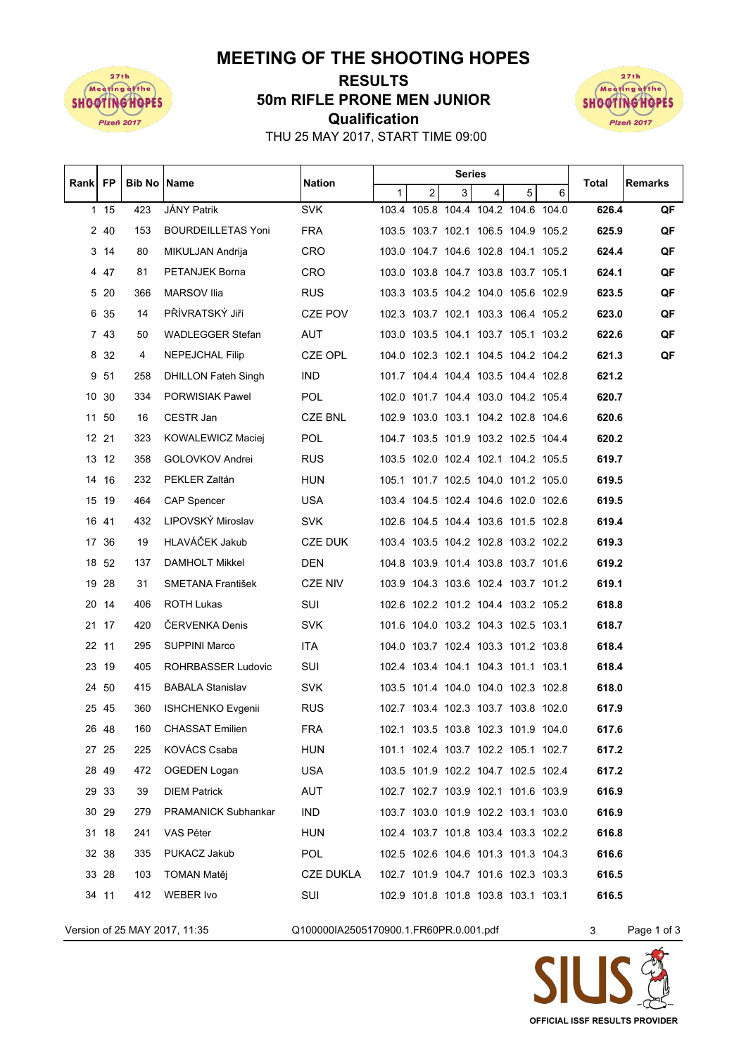

## **MEETING OF THE SHOOTING HOPES**

## **Qualification 50m RIFLE PRONE MEN JUNIOR RESULTS**



THU 25 MAY 2017, START TIME 09:00

| Rank   FP<br><b>Bib No IName</b><br>Nation<br>Total<br>$\overline{a}$<br>3<br>5<br>1<br>4<br>6<br>103.4 105.8 104.4 104.2 104.6 104.0<br>1 15<br>423<br>JÁNY Patrik<br><b>SVK</b><br>626.4<br>2 40<br><b>BOURDEILLETAS Yoni</b><br><b>FRA</b><br>153<br>103.5 103.7 102.1 106.5 104.9 105.2<br>625.9<br>3 14<br>80<br>CRO<br>103.0 104.7 104.6 102.8 104.1 105.2<br>MIKULJAN Andrija<br>624.4<br>447<br><b>CRO</b><br>103.0 103.8 104.7 103.8 103.7 105.1<br>81<br>PETANJEK Borna<br>624.1<br>5 20<br><b>MARSOV Ilia</b><br><b>RUS</b><br>103.3 103.5 104.2 104.0 105.6 102.9<br>623.5<br>366<br>6 35<br>PŘÍVRATSKÝ Jiří<br>102.3 103.7 102.1 103.3 106.4 105.2<br>14<br>CZE POV<br>623.0<br>7 43<br><b>AUT</b><br>103.0 103.5 104.1 103.7 105.1 103.2<br>50<br><b>WADLEGGER Stefan</b><br>622.6<br>8 32<br>4<br>NEPEJCHAL Filip<br>CZE OPL<br>104.0 102.3 102.1 104.5 104.2 104.2<br>621.3<br>9 51<br><b>IND</b><br>101.7 104.4 104.4 103.5 104.4 102.8<br>258<br><b>DHILLON Fateh Singh</b><br>621.2<br>10 30<br>POL<br>102.0 101.7 104.4 103.0 104.2 105.4<br>620.7<br>334<br>PORWISIAK Pawel<br>11 50<br>CESTR Jan<br>CZE BNL<br>102.9 103.0 103.1 104.2 102.8 104.6<br>620.6<br>16<br>12 21<br>104.7 103.5 101.9 103.2 102.5 104.4<br>620.2<br>323<br>KOWALEWICZ Maciej<br>POL.<br>13 12<br>358<br>GOLOVKOV Andrei<br><b>RUS</b><br>103.5 102.0 102.4 102.1 104.2 105.5<br>619.7<br>14 16<br>232<br>PEKLER Zaltán<br><b>HUN</b><br>105.1 101.7 102.5 104.0 101.2 105.0<br>619.5<br>15 19<br>464<br><b>CAP Spencer</b><br>USA.<br>103.4 104.5 102.4 104.6 102.0 102.6<br>619.5<br>LIPOVSKÝ Miroslav<br>16 41<br>432<br><b>SVK</b><br>102.6 104.5 104.4 103.6 101.5 102.8<br>619.4 | Remarks |
|---------------------------------------------------------------------------------------------------------------------------------------------------------------------------------------------------------------------------------------------------------------------------------------------------------------------------------------------------------------------------------------------------------------------------------------------------------------------------------------------------------------------------------------------------------------------------------------------------------------------------------------------------------------------------------------------------------------------------------------------------------------------------------------------------------------------------------------------------------------------------------------------------------------------------------------------------------------------------------------------------------------------------------------------------------------------------------------------------------------------------------------------------------------------------------------------------------------------------------------------------------------------------------------------------------------------------------------------------------------------------------------------------------------------------------------------------------------------------------------------------------------------------------------------------------------------------------------------------------------------------------------------------------------------------------------|---------|
|                                                                                                                                                                                                                                                                                                                                                                                                                                                                                                                                                                                                                                                                                                                                                                                                                                                                                                                                                                                                                                                                                                                                                                                                                                                                                                                                                                                                                                                                                                                                                                                                                                                                                       |         |
|                                                                                                                                                                                                                                                                                                                                                                                                                                                                                                                                                                                                                                                                                                                                                                                                                                                                                                                                                                                                                                                                                                                                                                                                                                                                                                                                                                                                                                                                                                                                                                                                                                                                                       | QF      |
|                                                                                                                                                                                                                                                                                                                                                                                                                                                                                                                                                                                                                                                                                                                                                                                                                                                                                                                                                                                                                                                                                                                                                                                                                                                                                                                                                                                                                                                                                                                                                                                                                                                                                       | QF      |
|                                                                                                                                                                                                                                                                                                                                                                                                                                                                                                                                                                                                                                                                                                                                                                                                                                                                                                                                                                                                                                                                                                                                                                                                                                                                                                                                                                                                                                                                                                                                                                                                                                                                                       | QF      |
|                                                                                                                                                                                                                                                                                                                                                                                                                                                                                                                                                                                                                                                                                                                                                                                                                                                                                                                                                                                                                                                                                                                                                                                                                                                                                                                                                                                                                                                                                                                                                                                                                                                                                       | QF      |
|                                                                                                                                                                                                                                                                                                                                                                                                                                                                                                                                                                                                                                                                                                                                                                                                                                                                                                                                                                                                                                                                                                                                                                                                                                                                                                                                                                                                                                                                                                                                                                                                                                                                                       | QF      |
|                                                                                                                                                                                                                                                                                                                                                                                                                                                                                                                                                                                                                                                                                                                                                                                                                                                                                                                                                                                                                                                                                                                                                                                                                                                                                                                                                                                                                                                                                                                                                                                                                                                                                       | QF      |
|                                                                                                                                                                                                                                                                                                                                                                                                                                                                                                                                                                                                                                                                                                                                                                                                                                                                                                                                                                                                                                                                                                                                                                                                                                                                                                                                                                                                                                                                                                                                                                                                                                                                                       | QF      |
|                                                                                                                                                                                                                                                                                                                                                                                                                                                                                                                                                                                                                                                                                                                                                                                                                                                                                                                                                                                                                                                                                                                                                                                                                                                                                                                                                                                                                                                                                                                                                                                                                                                                                       | QF      |
|                                                                                                                                                                                                                                                                                                                                                                                                                                                                                                                                                                                                                                                                                                                                                                                                                                                                                                                                                                                                                                                                                                                                                                                                                                                                                                                                                                                                                                                                                                                                                                                                                                                                                       |         |
|                                                                                                                                                                                                                                                                                                                                                                                                                                                                                                                                                                                                                                                                                                                                                                                                                                                                                                                                                                                                                                                                                                                                                                                                                                                                                                                                                                                                                                                                                                                                                                                                                                                                                       |         |
|                                                                                                                                                                                                                                                                                                                                                                                                                                                                                                                                                                                                                                                                                                                                                                                                                                                                                                                                                                                                                                                                                                                                                                                                                                                                                                                                                                                                                                                                                                                                                                                                                                                                                       |         |
|                                                                                                                                                                                                                                                                                                                                                                                                                                                                                                                                                                                                                                                                                                                                                                                                                                                                                                                                                                                                                                                                                                                                                                                                                                                                                                                                                                                                                                                                                                                                                                                                                                                                                       |         |
|                                                                                                                                                                                                                                                                                                                                                                                                                                                                                                                                                                                                                                                                                                                                                                                                                                                                                                                                                                                                                                                                                                                                                                                                                                                                                                                                                                                                                                                                                                                                                                                                                                                                                       |         |
|                                                                                                                                                                                                                                                                                                                                                                                                                                                                                                                                                                                                                                                                                                                                                                                                                                                                                                                                                                                                                                                                                                                                                                                                                                                                                                                                                                                                                                                                                                                                                                                                                                                                                       |         |
|                                                                                                                                                                                                                                                                                                                                                                                                                                                                                                                                                                                                                                                                                                                                                                                                                                                                                                                                                                                                                                                                                                                                                                                                                                                                                                                                                                                                                                                                                                                                                                                                                                                                                       |         |
|                                                                                                                                                                                                                                                                                                                                                                                                                                                                                                                                                                                                                                                                                                                                                                                                                                                                                                                                                                                                                                                                                                                                                                                                                                                                                                                                                                                                                                                                                                                                                                                                                                                                                       |         |
| HLAVÁČEK Jakub<br>17 36<br>19<br>CZE DUK<br>103.4 103.5 104.2 102.8 103.2 102.2<br>619.3                                                                                                                                                                                                                                                                                                                                                                                                                                                                                                                                                                                                                                                                                                                                                                                                                                                                                                                                                                                                                                                                                                                                                                                                                                                                                                                                                                                                                                                                                                                                                                                              |         |
| 18 52<br><b>DAMHOLT Mikkel</b><br><b>DEN</b><br>104.8 103.9 101.4 103.8 103.7 101.6<br>619.2<br>137                                                                                                                                                                                                                                                                                                                                                                                                                                                                                                                                                                                                                                                                                                                                                                                                                                                                                                                                                                                                                                                                                                                                                                                                                                                                                                                                                                                                                                                                                                                                                                                   |         |
| 19 28<br><b>CZE NIV</b><br>103.9 104.3 103.6 102.4 103.7 101.2<br>31<br>SMETANA František<br>619.1                                                                                                                                                                                                                                                                                                                                                                                                                                                                                                                                                                                                                                                                                                                                                                                                                                                                                                                                                                                                                                                                                                                                                                                                                                                                                                                                                                                                                                                                                                                                                                                    |         |
| SUI<br>20 14<br><b>ROTH Lukas</b><br>102.6 102.2 101.2 104.4 103.2 105.2<br>618.8<br>406                                                                                                                                                                                                                                                                                                                                                                                                                                                                                                                                                                                                                                                                                                                                                                                                                                                                                                                                                                                                                                                                                                                                                                                                                                                                                                                                                                                                                                                                                                                                                                                              |         |
| 21 17<br>420<br><b>CERVENKA Denis</b><br><b>SVK</b><br>101.6 104.0 103.2 104.3 102.5 103.1<br>618.7                                                                                                                                                                                                                                                                                                                                                                                                                                                                                                                                                                                                                                                                                                                                                                                                                                                                                                                                                                                                                                                                                                                                                                                                                                                                                                                                                                                                                                                                                                                                                                                   |         |
| 22 11<br><b>SUPPINI Marco</b><br>ITA<br>104.0 103.7 102.4 103.3 101.2 103.8<br>618.4<br>295                                                                                                                                                                                                                                                                                                                                                                                                                                                                                                                                                                                                                                                                                                                                                                                                                                                                                                                                                                                                                                                                                                                                                                                                                                                                                                                                                                                                                                                                                                                                                                                           |         |
| 23 19<br>ROHRBASSER Ludovic<br>SUI<br>102.4 103.4 104.1 104.3 101.1 103.1<br>618.4<br>405                                                                                                                                                                                                                                                                                                                                                                                                                                                                                                                                                                                                                                                                                                                                                                                                                                                                                                                                                                                                                                                                                                                                                                                                                                                                                                                                                                                                                                                                                                                                                                                             |         |
| 24 50<br><b>BABALA Stanislav</b><br><b>SVK</b><br>103.5 101.4 104.0 104.0 102.3 102.8<br>618.0<br>415                                                                                                                                                                                                                                                                                                                                                                                                                                                                                                                                                                                                                                                                                                                                                                                                                                                                                                                                                                                                                                                                                                                                                                                                                                                                                                                                                                                                                                                                                                                                                                                 |         |
| 25 45<br><b>RUS</b><br>102.7 103.4 102.3 103.7 103.8 102.0<br>360<br><b>ISHCHENKO Evgenii</b><br>617.9                                                                                                                                                                                                                                                                                                                                                                                                                                                                                                                                                                                                                                                                                                                                                                                                                                                                                                                                                                                                                                                                                                                                                                                                                                                                                                                                                                                                                                                                                                                                                                                |         |
| FRA<br>102.1 103.5 103.8 102.3 101.9 104.0<br>26 48<br>160<br><b>CHASSAT Emilien</b><br>617.6                                                                                                                                                                                                                                                                                                                                                                                                                                                                                                                                                                                                                                                                                                                                                                                                                                                                                                                                                                                                                                                                                                                                                                                                                                                                                                                                                                                                                                                                                                                                                                                         |         |
| 27 25<br><b>KOVÁCS Csaba</b><br>HUN<br>101.1 102.4 103.7 102.2 105.1 102.7<br>617.2<br>225                                                                                                                                                                                                                                                                                                                                                                                                                                                                                                                                                                                                                                                                                                                                                                                                                                                                                                                                                                                                                                                                                                                                                                                                                                                                                                                                                                                                                                                                                                                                                                                            |         |
| USA<br>103.5 101.9 102.2 104.7 102.5 102.4<br>28 49<br>OGEDEN Logan<br>617.2<br>472                                                                                                                                                                                                                                                                                                                                                                                                                                                                                                                                                                                                                                                                                                                                                                                                                                                                                                                                                                                                                                                                                                                                                                                                                                                                                                                                                                                                                                                                                                                                                                                                   |         |
| 616.9<br>29 33<br><b>DIEM Patrick</b><br>AUT<br>102.7 102.7 103.9 102.1 101.6 103.9<br>39                                                                                                                                                                                                                                                                                                                                                                                                                                                                                                                                                                                                                                                                                                                                                                                                                                                                                                                                                                                                                                                                                                                                                                                                                                                                                                                                                                                                                                                                                                                                                                                             |         |
| 616.9<br>30 29<br>IND.<br>103.7 103.0 101.9 102.2 103.1 103.0<br>279<br><b>PRAMANICK Subhankar</b>                                                                                                                                                                                                                                                                                                                                                                                                                                                                                                                                                                                                                                                                                                                                                                                                                                                                                                                                                                                                                                                                                                                                                                                                                                                                                                                                                                                                                                                                                                                                                                                    |         |
| 102.4 103.7 101.8 103.4 103.3 102.2<br>616.8<br>31 18<br>241<br>VAS Péter<br><b>HUN</b>                                                                                                                                                                                                                                                                                                                                                                                                                                                                                                                                                                                                                                                                                                                                                                                                                                                                                                                                                                                                                                                                                                                                                                                                                                                                                                                                                                                                                                                                                                                                                                                               |         |
| 616.6<br>32 38<br>PUKACZ Jakub<br><b>POL</b><br>102.5 102.6 104.6 101.3 101.3 104.3<br>335                                                                                                                                                                                                                                                                                                                                                                                                                                                                                                                                                                                                                                                                                                                                                                                                                                                                                                                                                                                                                                                                                                                                                                                                                                                                                                                                                                                                                                                                                                                                                                                            |         |
| <b>CZE DUKLA</b><br>616.5<br>33 28<br>102.7 101.9 104.7 101.6 102.3 103.3<br>103<br>TOMAN Matěj                                                                                                                                                                                                                                                                                                                                                                                                                                                                                                                                                                                                                                                                                                                                                                                                                                                                                                                                                                                                                                                                                                                                                                                                                                                                                                                                                                                                                                                                                                                                                                                       |         |
| 34 11<br>SUI<br>102.9 101.8 101.8 103.8 103.1 103.1<br>616.5<br>412<br>WEBER Ivo                                                                                                                                                                                                                                                                                                                                                                                                                                                                                                                                                                                                                                                                                                                                                                                                                                                                                                                                                                                                                                                                                                                                                                                                                                                                                                                                                                                                                                                                                                                                                                                                      |         |

Version of 25 MAY 2017, 11:35 Q100000IA2505170900.1.FR60PR.0.001.pdf 3 Page 1 of 3

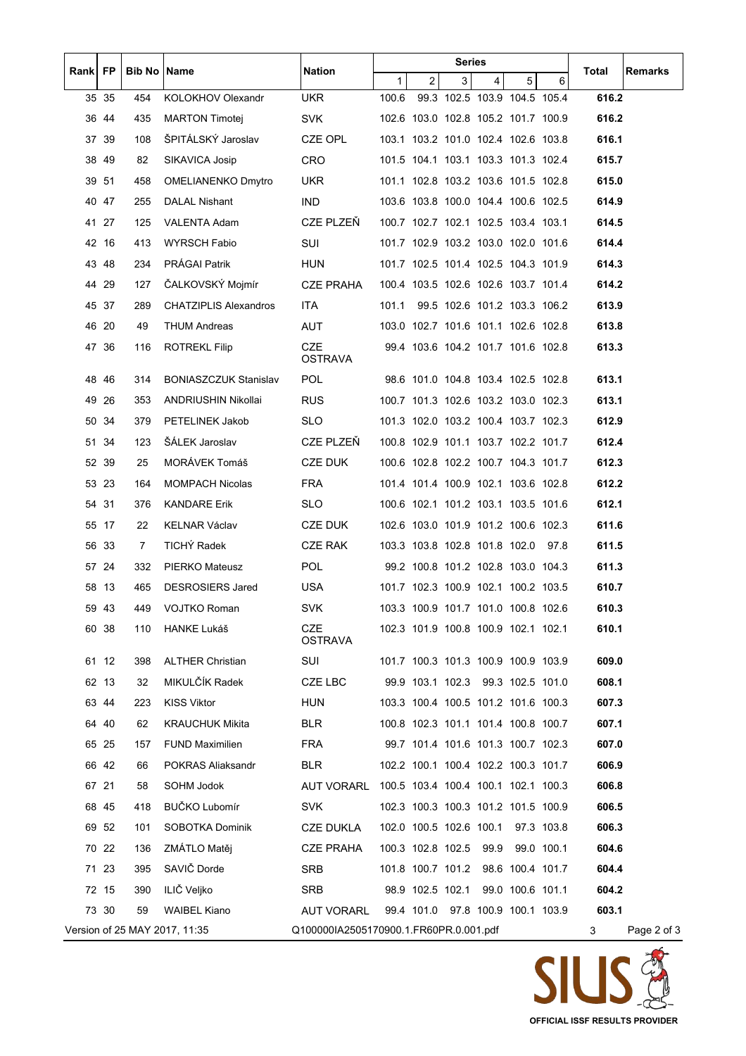| Rank   FP |       | <b>Bib No IName</b> |                               | Nation                                 | Series       |                                     |   |                              |                  |            |       |             |
|-----------|-------|---------------------|-------------------------------|----------------------------------------|--------------|-------------------------------------|---|------------------------------|------------------|------------|-------|-------------|
|           |       |                     |                               |                                        | $\mathbf{1}$ | $\overline{2}$                      | 3 | 4                            | 5                | 6          | Total | Remarks     |
|           | 35 35 | 454                 | <b>KOLOKHOV Olexandr</b>      | <b>UKR</b>                             | 100.6        |                                     |   | 99.3 102.5 103.9 104.5 105.4 |                  |            | 616.2 |             |
|           | 36 44 | 435                 | <b>MARTON Timotej</b>         | <b>SVK</b>                             |              | 102.6 103.0 102.8 105.2 101.7 100.9 |   |                              |                  |            | 616.2 |             |
|           | 37 39 | 108                 | ŠPITÁLSKÝ Jaroslav            | CZE OPL                                |              | 103.1 103.2 101.0 102.4 102.6 103.8 |   |                              |                  |            | 616.1 |             |
|           | 38 49 | 82                  | SIKAVICA Josip                | <b>CRO</b>                             |              | 101.5 104.1 103.1 103.3 101.3 102.4 |   |                              |                  |            | 615.7 |             |
|           | 39 51 | 458                 | OMELIANENKO Dmytro            | <b>UKR</b>                             |              | 101.1 102.8 103.2 103.6 101.5 102.8 |   |                              |                  |            | 615.0 |             |
|           | 40 47 | 255                 | DALAL Nishant                 | IND.                                   |              | 103.6 103.8 100.0 104.4 100.6 102.5 |   |                              |                  |            | 614.9 |             |
|           | 41 27 | 125                 | <b>VALENTA Adam</b>           | CZE PLZEŇ                              |              | 100.7 102.7 102.1 102.5 103.4 103.1 |   |                              |                  |            | 614.5 |             |
|           | 42 16 | 413                 | WYRSCH Fabio                  | SUI                                    |              | 101.7 102.9 103.2 103.0 102.0 101.6 |   |                              |                  |            | 614.4 |             |
|           | 4348  | 234                 | PRÁGAI Patrik                 | <b>HUN</b>                             |              | 101.7 102.5 101.4 102.5 104.3 101.9 |   |                              |                  |            | 614.3 |             |
|           | 44 29 | 127                 | ČALKOVSKÝ Mojmír              | <b>CZE PRAHA</b>                       |              | 100.4 103.5 102.6 102.6 103.7 101.4 |   |                              |                  |            | 614.2 |             |
|           | 45 37 | 289                 | <b>CHATZIPLIS Alexandros</b>  | ITA.                                   | 101.1        |                                     |   | 99.5 102.6 101.2 103.3 106.2 |                  |            | 613.9 |             |
|           | 46 20 | 49                  | <b>THUM Andreas</b>           | AUT                                    |              | 103.0 102.7 101.6 101.1 102.6 102.8 |   |                              |                  |            | 613.8 |             |
|           | 47 36 | 116                 | <b>ROTREKL Filip</b>          | <b>CZE</b><br><b>OSTRAVA</b>           |              | 99.4 103.6 104.2 101.7 101.6 102.8  |   |                              |                  |            | 613.3 |             |
|           | 48 46 | 314                 | <b>BONIASZCZUK Stanislav</b>  | <b>POL</b>                             |              | 98.6 101.0 104.8 103.4 102.5 102.8  |   |                              |                  |            | 613.1 |             |
|           | 49 26 | 353                 | ANDRIUSHIN Nikollai           | <b>RUS</b>                             |              | 100.7 101.3 102.6 103.2 103.0 102.3 |   |                              |                  |            | 613.1 |             |
|           | 50 34 | 379                 | PETELINEK Jakob               | SLO.                                   |              | 101.3 102.0 103.2 100.4 103.7 102.3 |   |                              |                  |            | 612.9 |             |
|           | 51 34 | 123                 | ŠÁLEK Jaroslav                | CZE PLZEŇ                              |              | 100.8 102.9 101.1 103.7 102.2 101.7 |   |                              |                  |            | 612.4 |             |
|           | 52 39 | 25                  | MORÁVEK Tomáš                 | CZE DUK                                |              | 100.6 102.8 102.2 100.7 104.3 101.7 |   |                              |                  |            | 612.3 |             |
|           | 53 23 | 164                 | <b>MOMPACH Nicolas</b>        | <b>FRA</b>                             |              | 101.4 101.4 100.9 102.1 103.6 102.8 |   |                              |                  |            | 612.2 |             |
|           | 54 31 | 376                 | <b>KANDARE Erik</b>           | <b>SLO</b>                             |              | 100.6 102.1 101.2 103.1 103.5 101.6 |   |                              |                  |            | 612.1 |             |
|           | 55 17 | 22                  | <b>KELNAR Václav</b>          | CZE DUK                                |              | 102.6 103.0 101.9 101.2 100.6 102.3 |   |                              |                  |            | 611.6 |             |
|           | 56 33 | 7                   | TICHÝ Radek                   | <b>CZE RAK</b>                         |              | 103.3 103.8 102.8 101.8 102.0 97.8  |   |                              |                  |            | 611.5 |             |
|           | 57 24 | 332                 | <b>PIERKO Mateusz</b>         | <b>POL</b>                             |              | 99.2 100.8 101.2 102.8 103.0 104.3  |   |                              |                  |            | 611.3 |             |
|           | 58 13 | 465                 | <b>DESROSIERS Jared</b>       | <b>USA</b>                             |              | 101.7 102.3 100.9 102.1 100.2 103.5 |   |                              |                  |            | 610.7 |             |
|           | 59 43 | 449                 | VOJTKO Roman                  | <b>SVK</b>                             |              | 103.3 100.9 101.7 101.0 100.8 102.6 |   |                              |                  |            | 610.3 |             |
|           | 60 38 | 110                 | HANKE Lukáš                   | <b>CZE</b><br><b>OSTRAVA</b>           |              | 102.3 101.9 100.8 100.9 102.1 102.1 |   |                              |                  |            | 610.1 |             |
|           | 61 12 | 398                 | <b>ALTHER Christian</b>       | SUI                                    |              | 101.7 100.3 101.3 100.9 100.9 103.9 |   |                              |                  |            | 609.0 |             |
|           | 62 13 | 32                  | MIKULČÍK Radek                | CZE LBC                                |              | 99.9 103.1 102.3 99.3 102.5 101.0   |   |                              |                  |            | 608.1 |             |
|           | 63 44 | 223                 | <b>KISS Viktor</b>            | <b>HUN</b>                             |              | 103.3 100.4 100.5 101.2 101.6 100.3 |   |                              |                  |            | 607.3 |             |
|           | 64 40 | 62                  | <b>KRAUCHUK Mikita</b>        | BLR                                    |              | 100.8 102.3 101.1 101.4 100.8 100.7 |   |                              |                  |            | 607.1 |             |
|           | 65 25 | 157                 | <b>FUND Maximilien</b>        | FRA                                    |              | 99.7 101.4 101.6 101.3 100.7 102.3  |   |                              |                  |            | 607.0 |             |
|           | 66 42 | 66                  | POKRAS Aliaksandr             | <b>BLR</b>                             |              | 102.2 100.1 100.4 102.2 100.3 101.7 |   |                              |                  |            | 606.9 |             |
|           | 67 21 | 58                  | SOHM Jodok                    | <b>AUT VORARL</b>                      |              | 100.5 103.4 100.4 100.1 102.1 100.3 |   |                              |                  |            | 606.8 |             |
|           | 68 45 | 418                 | BUČKO Lubomír                 | <b>SVK</b>                             |              | 102.3 100.3 100.3 101.2 101.5 100.9 |   |                              |                  |            | 606.5 |             |
|           | 69 52 | 101                 | SOBOTKA Dominik               | CZE DUKLA                              |              | 102.0 100.5 102.6 100.1             |   |                              |                  | 97.3 103.8 | 606.3 |             |
|           | 70 22 | 136                 | ZMÁTLO Matěj                  | <b>CZE PRAHA</b>                       |              | 100.3 102.8 102.5                   |   | 99.9                         |                  | 99.0 100.1 | 604.6 |             |
|           | 71 23 | 395                 | SAVIČ Dorde                   | <b>SRB</b>                             |              | 101.8 100.7 101.2 98.6 100.4 101.7  |   |                              |                  |            | 604.4 |             |
|           | 72 15 | 390                 | ILIČ Veljko                   | <b>SRB</b>                             |              | 98.9 102.5 102.1                    |   |                              | 99.0 100.6 101.1 |            | 604.2 |             |
|           | 73 30 | 59                  | <b>WAIBEL Kiano</b>           | <b>AUT VORARL</b>                      |              | 99.4 101.0 97.8 100.9 100.1 103.9   |   |                              |                  |            | 603.1 |             |
|           |       |                     | Version of 25 MAY 2017, 11:35 | Q100000IA2505170900.1.FR60PR.0.001.pdf |              |                                     |   |                              |                  |            | 3     | Page 2 of 3 |